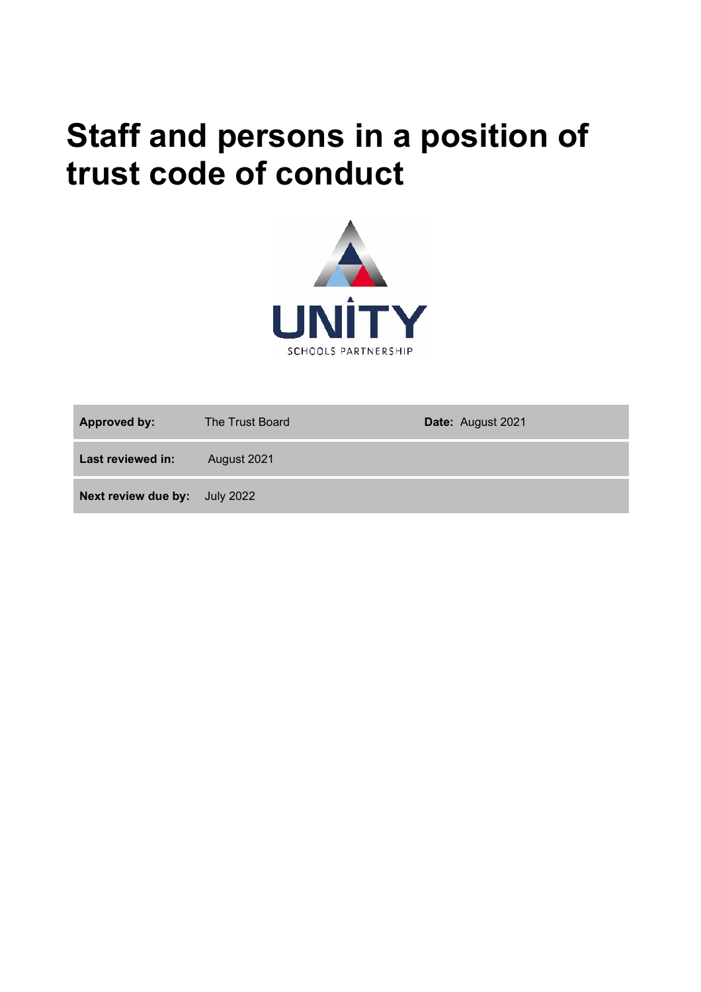# **Staff and persons in a position of trust code of conduct**



| <b>Approved by:</b>           | The Trust Board | Date: August 2021 |
|-------------------------------|-----------------|-------------------|
| Last reviewed in:             | August 2021     |                   |
| Next review due by: July 2022 |                 |                   |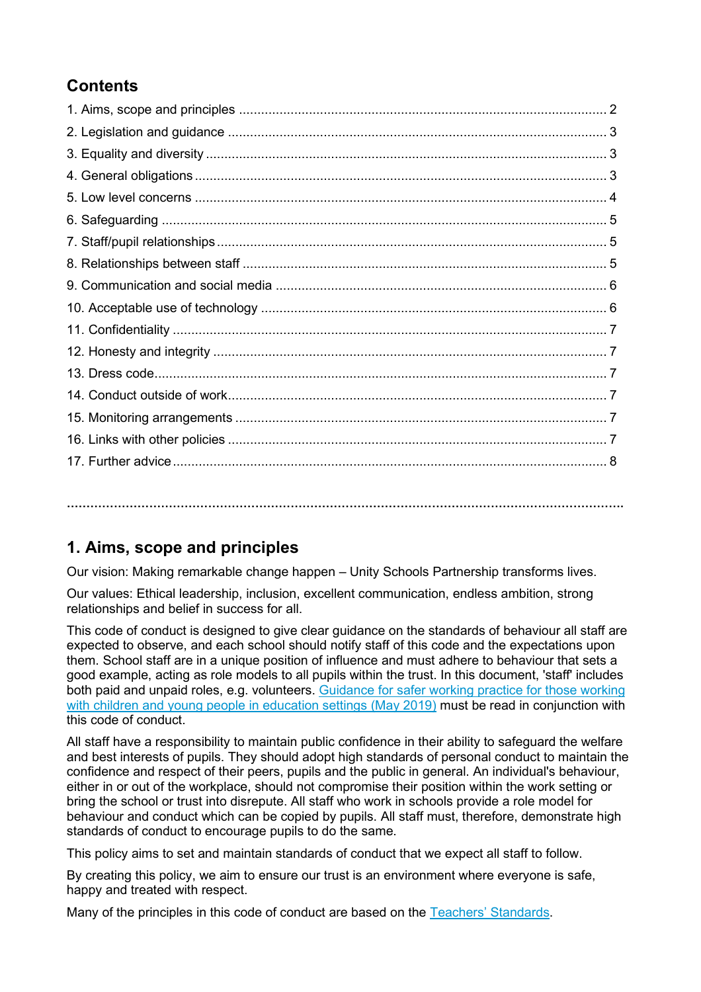# **Contents**

**…………………………………………………………………………………………………………………………….**

# **1. Aims, scope and principles**

Our vision: Making remarkable change happen – Unity Schools Partnership transforms lives.

Our values: Ethical leadership, inclusion, excellent communication, endless ambition, strong relationships and belief in success for all.

This code of conduct is designed to give clear guidance on the standards of behaviour all staff are expected to observe, and each school should notify staff of this code and the expectations upon them. School staff are in a unique position of influence and must adhere to behaviour that sets a good example, acting as role models to all pupils within the trust. In this document, 'staff' includes both paid and unpaid roles, e.g. volunteers. [Guidance for safer working practice for those working](https://c-cluster-110.uploads.documents.cimpress.io/v1/uploads/13ecce28-e8f2-49e9-83c6-c29337cd8071%7E110/original?tenant=vbu-digital)  [with children and young people in education settings \(May 2019\)](https://c-cluster-110.uploads.documents.cimpress.io/v1/uploads/13ecce28-e8f2-49e9-83c6-c29337cd8071%7E110/original?tenant=vbu-digital) must be read in conjunction with this code of conduct.

All staff have a responsibility to maintain public confidence in their ability to safeguard the welfare and best interests of pupils. They should adopt high standards of personal conduct to maintain the confidence and respect of their peers, pupils and the public in general. An individual's behaviour, either in or out of the workplace, should not compromise their position within the work setting or bring the school or trust into disrepute. All staff who work in schools provide a role model for behaviour and conduct which can be copied by pupils. All staff must, therefore, demonstrate high standards of conduct to encourage pupils to do the same.

This policy aims to set and maintain standards of conduct that we expect all staff to follow.

By creating this policy, we aim to ensure our trust is an environment where everyone is safe, happy and treated with respect.

Many of the principles in this code of conduct are based on the [Teachers' Standards.](https://www.gov.uk/government/publications/teachers-standards)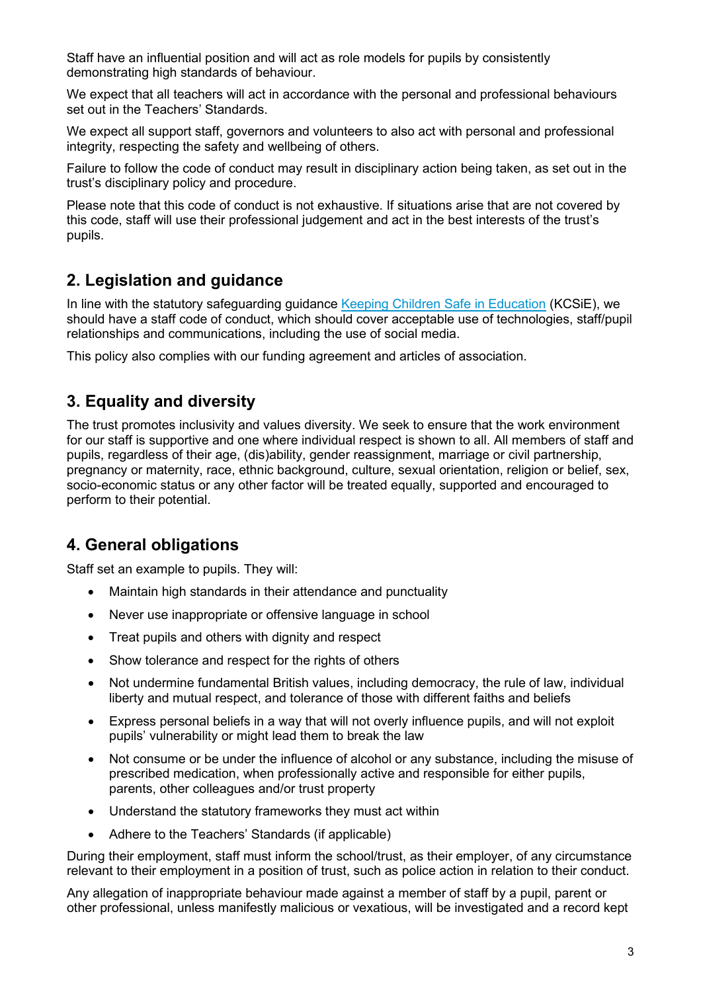Staff have an influential position and will act as role models for pupils by consistently demonstrating high standards of behaviour.

We expect that all teachers will act in accordance with the personal and professional behaviours set out in the Teachers' Standards.

We expect all support staff, governors and volunteers to also act with personal and professional integrity, respecting the safety and wellbeing of others.

Failure to follow the code of conduct may result in disciplinary action being taken, as set out in the trust's disciplinary policy and procedure.

Please note that this code of conduct is not exhaustive. If situations arise that are not covered by this code, staff will use their professional judgement and act in the best interests of the trust's pupils.

## **2. Legislation and guidance**

In line with the statutory safeguarding guidance [Keeping Children Safe in Education](https://www.gov.uk/government/publications/keeping-children-safe-in-education--2) (KCSiE), we should have a staff code of conduct, which should cover acceptable use of technologies, staff/pupil relationships and communications, including the use of social media.

This policy also complies with our funding agreement and articles of association.

## **3. Equality and diversity**

The trust promotes inclusivity and values diversity. We seek to ensure that the work environment for our staff is supportive and one where individual respect is shown to all. All members of staff and pupils, regardless of their age, (dis)ability, gender reassignment, marriage or civil partnership, pregnancy or maternity, race, ethnic background, culture, sexual orientation, religion or belief, sex, socio-economic status or any other factor will be treated equally, supported and encouraged to perform to their potential.

## **4. General obligations**

Staff set an example to pupils. They will:

- Maintain high standards in their attendance and punctuality
- Never use inappropriate or offensive language in school
- Treat pupils and others with dignity and respect
- Show tolerance and respect for the rights of others
- Not undermine fundamental British values, including democracy, the rule of law, individual liberty and mutual respect, and tolerance of those with different faiths and beliefs
- Express personal beliefs in a way that will not overly influence pupils, and will not exploit pupils' vulnerability or might lead them to break the law
- Not consume or be under the influence of alcohol or any substance, including the misuse of prescribed medication, when professionally active and responsible for either pupils, parents, other colleagues and/or trust property
- Understand the statutory frameworks they must act within
- Adhere to the Teachers' Standards (if applicable)

During their employment, staff must inform the school/trust, as their employer, of any circumstance relevant to their employment in a position of trust, such as police action in relation to their conduct.

Any allegation of inappropriate behaviour made against a member of staff by a pupil, parent or other professional, unless manifestly malicious or vexatious, will be investigated and a record kept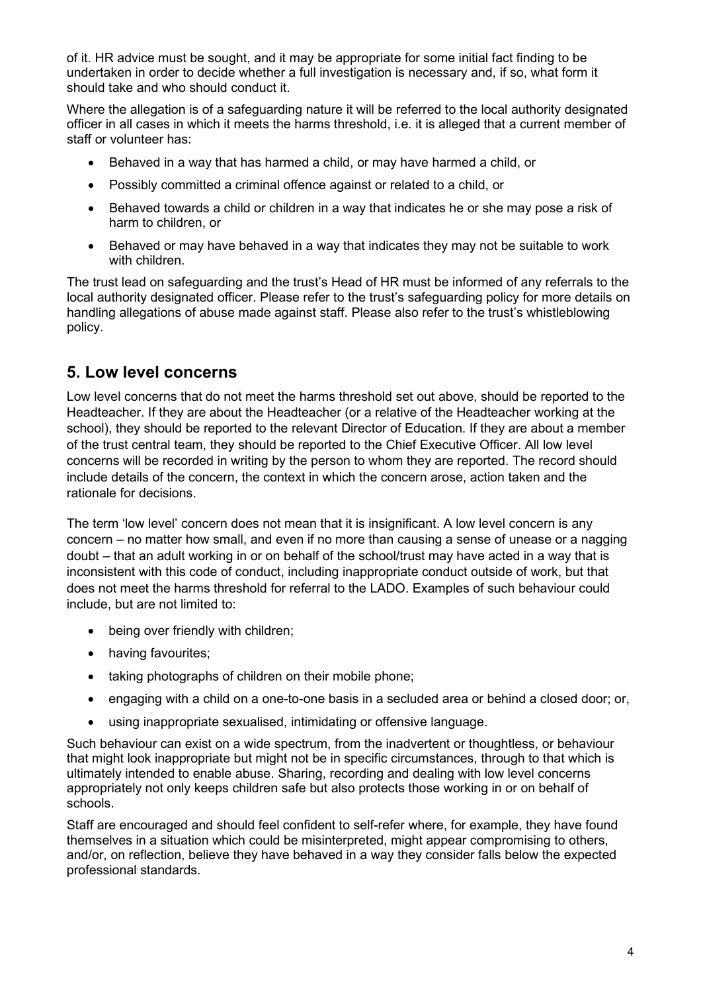of it. HR advice must be sought, and it may be appropriate for some initial fact finding to be undertaken in order to decide whether a full investigation is necessary and, if so, what form it should take and who should conduct it.

Where the allegation is of a safeguarding nature it will be referred to the local authority designated officer in all cases in which it meets the harms threshold, i.e. it is alleged that a current member of staff or volunteer has:

- Behaved in a way that has harmed a child, or may have harmed a child, or
- Possibly committed a criminal offence against or related to a child, or
- Behaved towards a child or children in a way that indicates he or she may pose a risk of harm to children, or
- Behaved or may have behaved in a way that indicates they may not be suitable to work with children.

The trust lead on safeguarding and the trust's Head of HR must be informed of any referrals to the local authority designated officer. Please refer to the trust's safeguarding policy for more details on handling allegations of abuse made against staff. Please also refer to the trust's whistleblowing policy.

## **5. Low level concerns**

Low level concerns that do not meet the harms threshold set out above, should be reported to the Headteacher. If they are about the Headteacher (or a relative of the Headteacher working at the school), they should be reported to the relevant Director of Education. If they are about a member of the trust central team, they should be reported to the Chief Executive Officer. All low level concerns will be recorded in writing by the person to whom they are reported. The record should include details of the concern, the context in which the concern arose, action taken and the rationale for decisions.

The term 'low level' concern does not mean that it is insignificant. A low level concern is any concern – no matter how small, and even if no more than causing a sense of unease or a nagging doubt – that an adult working in or on behalf of the school/trust may have acted in a way that is inconsistent with this code of conduct, including inappropriate conduct outside of work, but that does not meet the harms threshold for referral to the LADO. Examples of such behaviour could include, but are not limited to:

- being over friendly with children;
- having favourites;
- taking photographs of children on their mobile phone;
- engaging with a child on a one-to-one basis in a secluded area or behind a closed door; or,
- using inappropriate sexualised, intimidating or offensive language.

Such behaviour can exist on a wide spectrum, from the inadvertent or thoughtless, or behaviour that might look inappropriate but might not be in specific circumstances, through to that which is ultimately intended to enable abuse. Sharing, recording and dealing with low level concerns appropriately not only keeps children safe but also protects those working in or on behalf of schools.

Staff are encouraged and should feel confident to self-refer where, for example, they have found themselves in a situation which could be misinterpreted, might appear compromising to others, and/or, on reflection, believe they have behaved in a way they consider falls below the expected professional standards.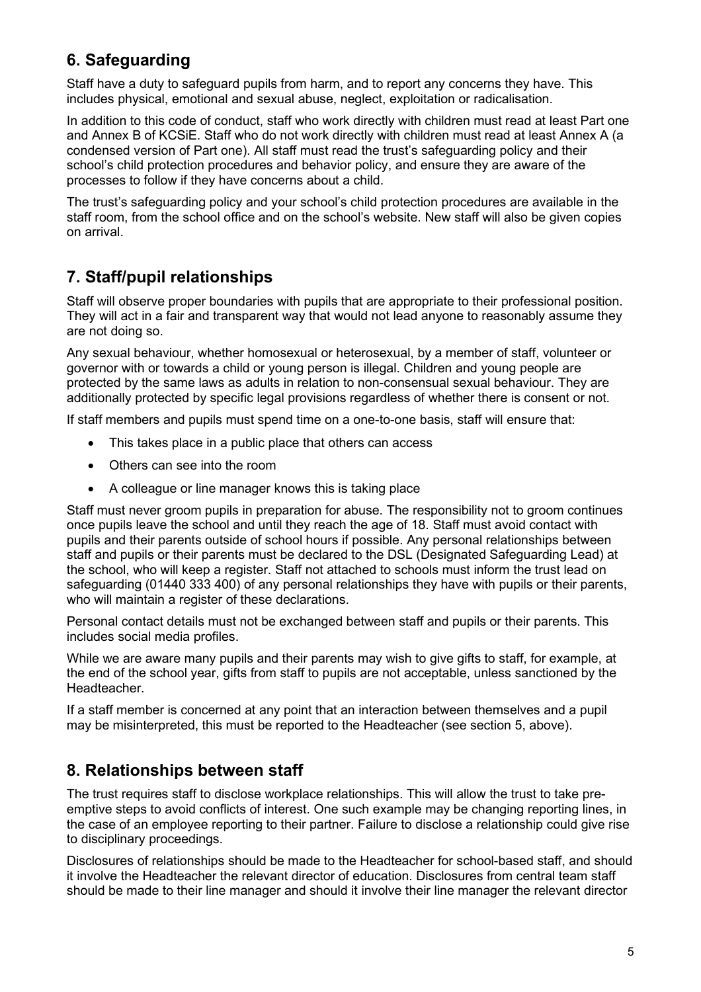# **6. Safeguarding**

Staff have a duty to safeguard pupils from harm, and to report any concerns they have. This includes physical, emotional and sexual abuse, neglect, exploitation or radicalisation.

In addition to this code of conduct, staff who work directly with children must read at least Part one and Annex B of KCSiE. Staff who do not work directly with children must read at least Annex A (a condensed version of Part one). All staff must read the trust's safeguarding policy and their school's child protection procedures and behavior policy, and ensure they are aware of the processes to follow if they have concerns about a child.

The trust's safeguarding policy and your school's child protection procedures are available in the staff room, from the school office and on the school's website. New staff will also be given copies on arrival.

# **7. Staff/pupil relationships**

Staff will observe proper boundaries with pupils that are appropriate to their professional position. They will act in a fair and transparent way that would not lead anyone to reasonably assume they are not doing so.

Any sexual behaviour, whether homosexual or heterosexual, by a member of staff, volunteer or governor with or towards a child or young person is illegal. Children and young people are protected by the same laws as adults in relation to non-consensual sexual behaviour. They are additionally protected by specific legal provisions regardless of whether there is consent or not.

If staff members and pupils must spend time on a one-to-one basis, staff will ensure that:

- This takes place in a public place that others can access
- Others can see into the room
- A colleague or line manager knows this is taking place

Staff must never groom pupils in preparation for abuse. The responsibility not to groom continues once pupils leave the school and until they reach the age of 18. Staff must avoid contact with pupils and their parents outside of school hours if possible. Any personal relationships between staff and pupils or their parents must be declared to the DSL (Designated Safeguarding Lead) at the school, who will keep a register. Staff not attached to schools must inform the trust lead on safeguarding (01440 333 400) of any personal relationships they have with pupils or their parents, who will maintain a register of these declarations.

Personal contact details must not be exchanged between staff and pupils or their parents. This includes social media profiles.

While we are aware many pupils and their parents may wish to give gifts to staff, for example, at the end of the school year, gifts from staff to pupils are not acceptable, unless sanctioned by the Headteacher.

If a staff member is concerned at any point that an interaction between themselves and a pupil may be misinterpreted, this must be reported to the Headteacher (see section 5, above).

## **8. Relationships between staff**

The trust requires staff to disclose workplace relationships. This will allow the trust to take preemptive steps to avoid conflicts of interest. One such example may be changing reporting lines, in the case of an employee reporting to their partner. Failure to disclose a relationship could give rise to disciplinary proceedings.

Disclosures of relationships should be made to the Headteacher for school-based staff, and should it involve the Headteacher the relevant director of education. Disclosures from central team staff should be made to their line manager and should it involve their line manager the relevant director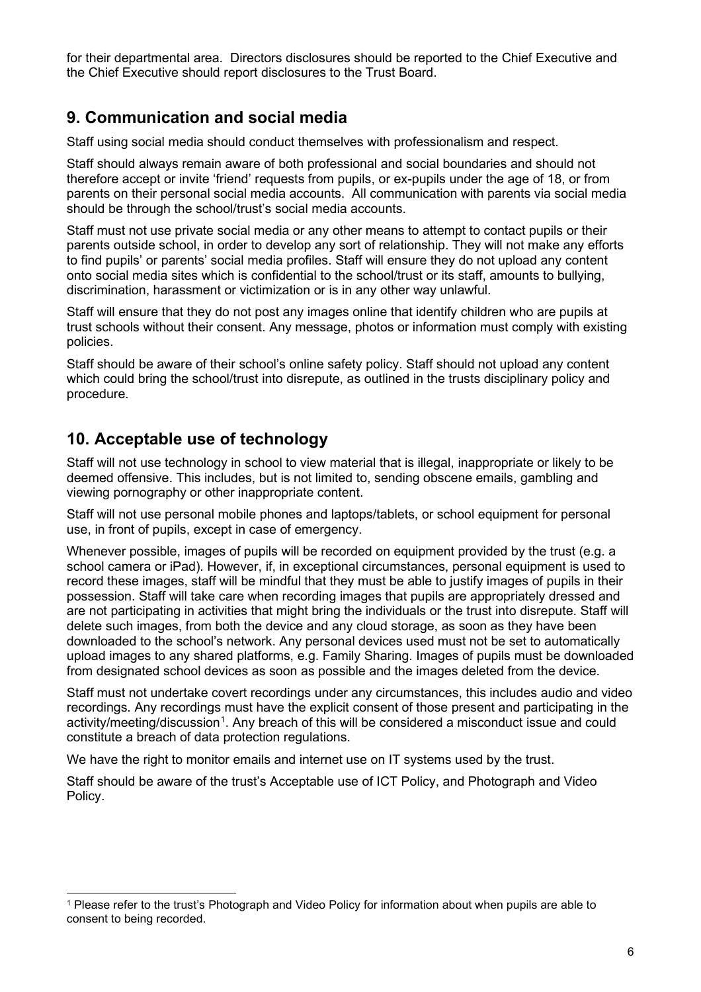for their departmental area. Directors disclosures should be reported to the Chief Executive and the Chief Executive should report disclosures to the Trust Board.

## **9. Communication and social media**

Staff using social media should conduct themselves with professionalism and respect.

Staff should always remain aware of both professional and social boundaries and should not therefore accept or invite 'friend' requests from pupils, or ex-pupils under the age of 18, or from parents on their personal social media accounts. All communication with parents via social media should be through the school/trust's social media accounts.

Staff must not use private social media or any other means to attempt to contact pupils or their parents outside school, in order to develop any sort of relationship. They will not make any efforts to find pupils' or parents' social media profiles. Staff will ensure they do not upload any content onto social media sites which is confidential to the school/trust or its staff, amounts to bullying, discrimination, harassment or victimization or is in any other way unlawful.

Staff will ensure that they do not post any images online that identify children who are pupils at trust schools without their consent. Any message, photos or information must comply with existing policies.

Staff should be aware of their school's online safety policy. Staff should not upload any content which could bring the school/trust into disrepute, as outlined in the trusts disciplinary policy and procedure.

## **10. Acceptable use of technology**

Staff will not use technology in school to view material that is illegal, inappropriate or likely to be deemed offensive. This includes, but is not limited to, sending obscene emails, gambling and viewing pornography or other inappropriate content.

Staff will not use personal mobile phones and laptops/tablets, or school equipment for personal use, in front of pupils, except in case of emergency.

Whenever possible, images of pupils will be recorded on equipment provided by the trust (e.g. a school camera or iPad). However, if, in exceptional circumstances, personal equipment is used to record these images, staff will be mindful that they must be able to justify images of pupils in their possession. Staff will take care when recording images that pupils are appropriately dressed and are not participating in activities that might bring the individuals or the trust into disrepute. Staff will delete such images, from both the device and any cloud storage, as soon as they have been downloaded to the school's network. Any personal devices used must not be set to automatically upload images to any shared platforms, e.g. Family Sharing. Images of pupils must be downloaded from designated school devices as soon as possible and the images deleted from the device.

Staff must not undertake covert recordings under any circumstances, this includes audio and video recordings. Any recordings must have the explicit consent of those present and participating in the activity/meeting/discussion<sup>[1](#page-5-0)</sup>. Any breach of this will be considered a misconduct issue and could constitute a breach of data protection regulations.

We have the right to monitor emails and internet use on IT systems used by the trust.

Staff should be aware of the trust's Acceptable use of ICT Policy, and Photograph and Video Policy.

<span id="page-5-0"></span><sup>1</sup> Please refer to the trust's Photograph and Video Policy for information about when pupils are able to consent to being recorded.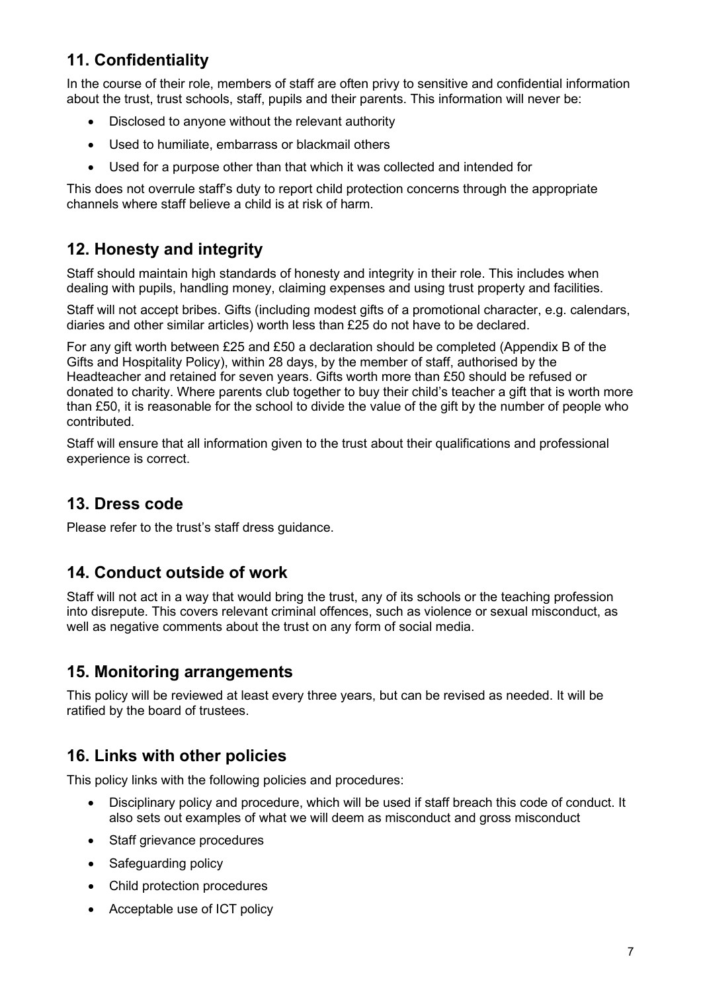# **11. Confidentiality**

In the course of their role, members of staff are often privy to sensitive and confidential information about the trust, trust schools, staff, pupils and their parents. This information will never be:

- Disclosed to anyone without the relevant authority
- Used to humiliate, embarrass or blackmail others
- Used for a purpose other than that which it was collected and intended for

This does not overrule staff's duty to report child protection concerns through the appropriate channels where staff believe a child is at risk of harm.

# **12. Honesty and integrity**

Staff should maintain high standards of honesty and integrity in their role. This includes when dealing with pupils, handling money, claiming expenses and using trust property and facilities.

Staff will not accept bribes. Gifts (including modest gifts of a promotional character, e.g. calendars, diaries and other similar articles) worth less than £25 do not have to be declared.

For any gift worth between £25 and £50 a declaration should be completed (Appendix B of the Gifts and Hospitality Policy), within 28 days, by the member of staff, authorised by the Headteacher and retained for seven years. Gifts worth more than £50 should be refused or donated to charity. Where parents club together to buy their child's teacher a gift that is worth more than £50, it is reasonable for the school to divide the value of the gift by the number of people who contributed.

Staff will ensure that all information given to the trust about their qualifications and professional experience is correct.

## **13. Dress code**

Please refer to the trust's staff dress guidance.

## **14. Conduct outside of work**

Staff will not act in a way that would bring the trust, any of its schools or the teaching profession into disrepute. This covers relevant criminal offences, such as violence or sexual misconduct, as well as negative comments about the trust on any form of social media.

#### **15. Monitoring arrangements**

This policy will be reviewed at least every three years, but can be revised as needed. It will be ratified by the board of trustees.

## **16. Links with other policies**

This policy links with the following policies and procedures:

- Disciplinary policy and procedure, which will be used if staff breach this code of conduct. It also sets out examples of what we will deem as misconduct and gross misconduct
- Staff grievance procedures
- Safeguarding policy
- Child protection procedures
- Acceptable use of ICT policy